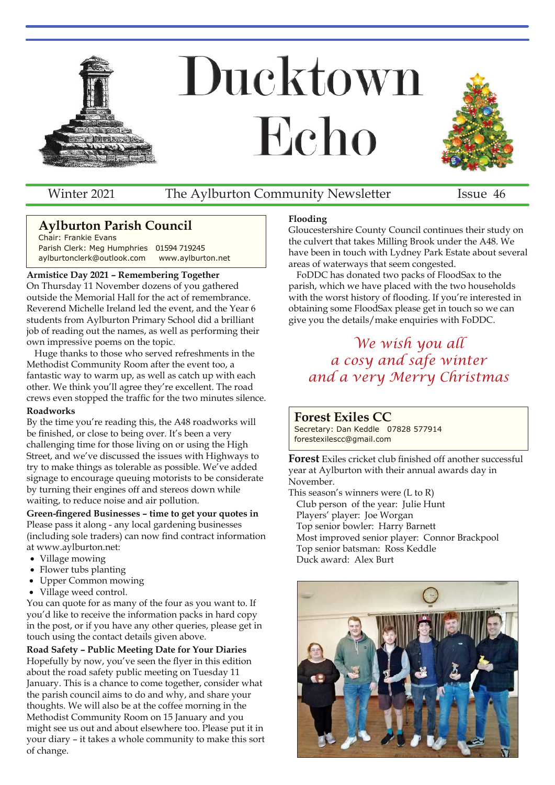

Winter 2021 The Aylburton Community Newsletter Issue 46

## **Aylburton Parish Council**

Chair: Frankie Evans Parish Clerk: Meg Humphries 01594 719245 aylburtonclerk@outlook.com www.aylburton.net

### **Armistice Day 2021 – Remembering Together**

On Thursday 11 November dozens of you gathered outside the Memorial Hall for the act of remembrance. Reverend Michelle Ireland led the event, and the Year 6 students from Aylburton Primary School did a brilliant job of reading out the names, as well as performing their own impressive poems on the topic.

Huge thanks to those who served refreshments in the Methodist Community Room after the event too, a fantastic way to warm up, as well as catch up with each other. We think you'll agree they're excellent. The road crews even stopped the traffic for the two minutes silence.

### **Roadworks**

By the time you're reading this, the A48 roadworks will be finished, or close to being over. It's been a very challenging time for those living on or using the High Street, and we've discussed the issues with Highways to try to make things as tolerable as possible. We've added signage to encourage queuing motorists to be considerate by turning their engines off and stereos down while waiting, to reduce noise and air pollution.

**Green-fingered Businesses – time to get your quotes in** Please pass it along - any local gardening businesses (including sole traders) can now find contract information at www.aylburton.net:

- Village mowing
- Flower tubs planting
- � Upper Common mowing
- � Village weed control.

You can quote for as many of the four as you want to. If you'd like to receive the information packs in hard copy in the post, or if you have any other queries, please get in touch using the contact details given above.

**Road Safety – Public Meeting Date for Your Diaries** Hopefully by now, you've seen the flyer in this edition about the road safety public meeting on Tuesday 11 January. This is a chance to come together, consider what the parish council aims to do and why, and share your thoughts. We will also be at the coffee morning in the Methodist Community Room on 15 January and you might see us out and about elsewhere too. Please put it in your diary – it takes a whole community to make this sort of change.

### **Flooding**

Gloucestershire County Council continues their study on the culvert that takes Milling Brook under the A48. We have been in touch with Lydney Park Estate about several areas of waterways that seem congested.

FoDDC has donated two packs of FloodSax to the parish, which we have placed with the two households with the worst history of flooding. If you're interested in obtaining some FloodSax please get in touch so we can give you the details/make enquiries with FoDDC.

# *We wish you all a cosy and safe winter and a very Merry Christmas*

## **Forest Exiles CC**

Secretary: Dan Keddle 07828 577914 forestexilescc@gmail.com

**Forest** Exiles cricket club finished off another successful year at Aylburton with their annual awards day in November.

This season's winners were (L to R) Club person of the year: Julie Hunt Players' player: Joe Worgan Top senior bowler: Harry Barnett Most improved senior player: Connor Brackpool Top senior batsman: Ross Keddle Duck award: Alex Burt

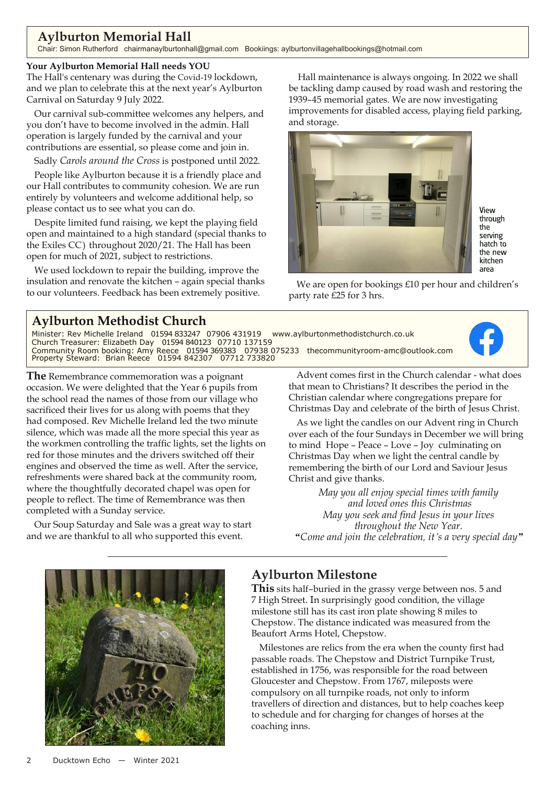## **Aylburton Memorial Hall**

Chair: Simon Rutherford chairmanaylburtonhall@gmail.com Bookiings: aylburtonvillagehallbookings@hotmail.com

### **Your Aylburton Memorial Hall needs YOU**

The Hall's centenary was during the Covid-19 lockdown, and we plan to celebrate this at the next year's Aylburton Carnival on Saturday 9 July 2022.

Our carnival sub-committee welcomes any helpers, and you don't have to become involved in the admin. Hall operation is largely funded by the carnival and your contributions are essential, so please come and join in.

Sadly *Carols around the Cross* is postponed until 2022.

People like Aylburton because it is a friendly place and our Hall contributes to community cohesion. We are run entirely by volunteers and welcome additional help, so please contact us to see what you can do.

Despite limited fund raising, we kept the playing field open and maintained to a high standard (special thanks to the Exiles CC ) throughout 2020/21. The Hall has been open for much of 2021, subject to restrictions.

We used lockdown to repair the building, improve the insulation and renovate the kitchen – again special thanks to our volunteers. Feedback has been extremely positive.

Hall maintenance is always ongoing. In 2022 we shall be tackling damp caused by road wash and restoring the 1939–45 memorial gates. We are now investigating improvements for disabled access, playing field parking, and storage.



View through the serving hatch to the new kitchen area

We are open for bookings £10 per hour and children's party rate £25 for 3 hrs.

## **Aylburton Methodist Church**

Minister: Rev Michelle Ireland 01594 833247 07906 431919 www.aylburtonmethodistchurch.co.uk Church Treasurer: Elizabeth Day 01594 840123 07710 137159 Community Room booking: Amy Reece 01594 369383 07938 075233 thecommunityroom-amc@outlook.com Property Steward: Brian Reece 01594 842307 07712 733820

**The** Remembrance commemoration was a poignant occasion. We were delighted that the Year 6 pupils from the school read the names of those from our village who sacrificed their lives for us along with poems that they had composed. Rev Michelle Ireland led the two minute silence, which was made all the more special this year as the workmen controlling the traffic lights, set the lights on red for those minutes and the drivers switched off their engines and observed the time as well. After the service, refreshments were shared back at the community room, where the thoughtfully decorated chapel was open for people to reflect. The time of Remembrance was then completed with a Sunday service.

Our Soup Saturday and Sale was a great way to start and we are thankful to all who supported this event.

Advent comes first in the Church calendar - what does that mean to Christians? It describes the period in the Christian calendar where congregations prepare for Christmas Day and celebrate of the birth of Jesus Christ.

As we light the candles on our Advent ring in Church over each of the four Sundays in December we will bring to mind Hope – Peace – Love – Joy culminating on Christmas Day when we light the central candle by remembering the birth of our Lord and Saviour Jesus Christ and give thanks.

*May you all enjoy special times with family and loved ones this Christmas May you seek and find Jesus in your lives throughout the New Year. "Come and join the celebration, it's a very special day"*



# **Aylburton Milestone**

**This** sits half–buried in the grassy verge between nos. 5 and 7 High Street. In surprisingly good condition, the village milestone still has its cast iron plate showing 8 miles to Chepstow. The distance indicated was measured from the Beaufort Arms Hotel, Chepstow.

Milestones are relics from the era when the county first had passable roads. The Chepstow and District Turnpike Trust, established in 1756, was responsible for the road between Gloucester and Chepstow. From 1767, mileposts were compulsory on all turnpike roads, not only to inform travellers of direction and distances, but to help coaches keep to schedule and for charging for changes of horses at the coaching inns.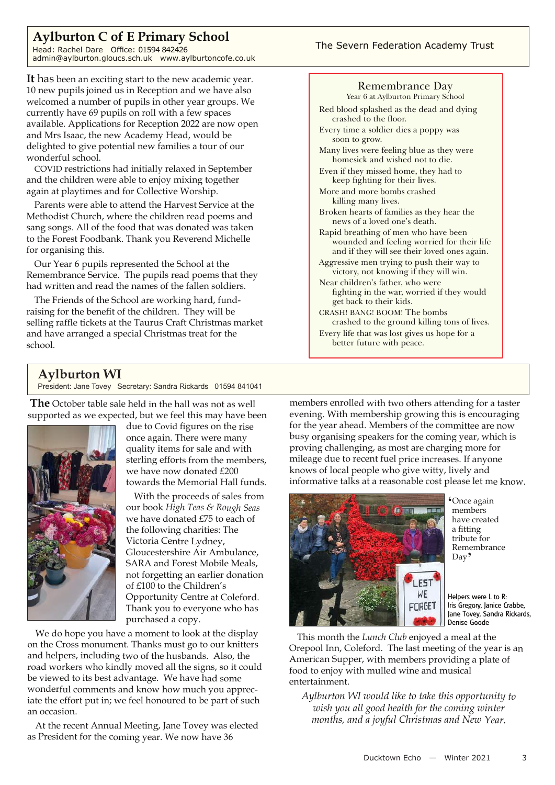## **Aylburton C of E Primary School**

Head: Rachel Dare Office: 01594 842426 admin@aylburton.gloucs.sch.uk www.aylburtoncofe.co.uk

**It** has been an exciting start to the new academic year. 10 new pupils joined us in Reception and we have also welcomed a number of pupils in other year groups. We currently have 69 pupils on roll with a few spaces available. Applications for Reception 2022 are now open and Mrs Isaac, the new Academy Head, would be delighted to give potential new families a tour of our wonderful school.

COVID restrictions had initially relaxed in September and the children were able to enjoy mixing together again at playtimes and for Collective Worship.

Parents were able to attend the Harvest Service at the Methodist Church, where the children read poems and sang songs. All of the food that was donated was taken to the Forest Foodbank. Thank you Reverend Michelle for organising this.

Our Year 6 pupils represented the School at the Remembrance Service. The pupils read poems that they had written and read the names of the fallen soldiers.

The Friends of the School are working hard, fundraising for the benefit of the children. They will be selling raffle tickets at the Taurus Craft Christmas market and have arranged a special Christmas treat for the school.

## **Aylburton WI**

President: Jane Tovey Secretary: Sandra Rickards 01594 841041

**The** October table sale held in the hall was not as well supported as we expected, but we feel this may have been



due to Covid figures on the rise once again. There were many quality items for sale and with sterling efforts from the members, we have now donated £200 towards the Memorial Hall funds.

With the proceeds of sales from our book *High Teas & Rough Seas* we have donated £75 to each of the following charities: The Victoria Centre Lydney, Gloucestershire Air Ambulance, SARA and Forest Mobile Meals, not forgetting an earlier donation of £100 to the Children's Opportunity Centre at Coleford. Thank you to everyone who has purchased <sup>a</sup> copy.

We do hope you have <sup>a</sup> moment to look at the display on the Cross monument. Thanks must go to our knitters and helpers, including two of the husbands. Also, the road workers who kindly moved all the signs, so it could be viewed to its best advantage. We have had some wonderful comments and know how much you appreciate the effort pu<sup>t</sup> in; we feel honoured to be par<sup>t</sup> of such an occasion.

At the recent Annual Meeting, Jane Tovey was elected as President for the coming year. We now have <sup>36</sup>

#### Remembrance Day Year 6 at Aylburton Primary School Red blood splashed as the dead and dying crashed to the floor. Every time a soldier dies a poppy was soon to grow. Many lives were feeling blue as they were homesick and wished not to die. Even if they missed home, they had to keep fighting for their lives. More and more bombs crashed killing many lives. Broken hearts of families as they hear the news of a loved one's death. Rapid breathing of men who have been wounded and feeling worried for their life and if they will see their loved ones again. Aggressive men trying to push their way to victory, not knowing if they will win. Near children's father, who were fighting in the war, worried if they would get back to their kids. CRASH! BANG! BOOM! The bombs crashed to the ground killing tons of lives.

Every life that was lost gives us hope for a better future with peace.

members enrolled with two others attending for <sup>a</sup> taster evening. With membership growing this is encouraging for the year ahead. Members of the committee are now busy organising speakers for the coming year, which is proving challenging, as most are charging more for mileage due to recent fuel price increases. If anyone knows of local people who give witty, lively and informative talks at <sup>a</sup> reasonable cost please let me know.



**'**Once again members have created a fitting tribute for Remembrance Day**'**

Helpers were L to R: Iris Gregory, Janice Crabbe, Jane Tovey, Sandra Rickards, Denise Goode

This month the *Lunch Club* enjoyed <sup>a</sup> meal at the Orepool Inn, Coleford. The last meeting of the year is an American Supper, with members providing <sup>a</sup> plate of food to enjoy with mulled wine and musical entertainment.

*Aylburton WI would like to take this opportunity to wish you all good health for the coming winter months, and <sup>a</sup> joyful Christmas and New Year.*